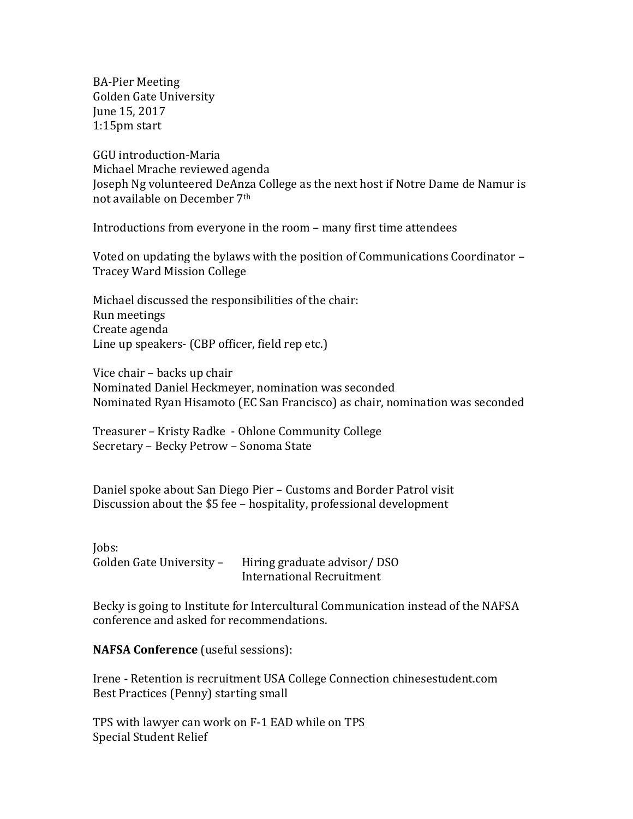BA-Pier Meeting Golden Gate University June 15, 2017 1:15pm start

GGU introduction-Maria Michael Mrache reviewed agenda Joseph Ng volunteered DeAnza College as the next host if Notre Dame de Namur is not available on December 7th

Introductions from everyone in the room – many first time attendees

Voted on updating the bylaws with the position of Communications Coordinator – Tracey Ward Mission College

Michael discussed the responsibilities of the chair: Run meetings Create agenda Line up speakers- (CBP officer, field rep etc.)

Vice chair – backs up chair Nominated Daniel Heckmeyer, nomination was seconded Nominated Ryan Hisamoto (EC San Francisco) as chair, nomination was seconded

Treasurer – Kristy Radke - Ohlone Community College Secretary – Becky Petrow – Sonoma State

Daniel spoke about San Diego Pier – Customs and Border Patrol visit Discussion about the \$5 fee – hospitality, professional development

Jobs:<br>Golden Gate University – Hiring graduate advisor/ DSO International Recruitment

Becky is going to Institute for Intercultural Communication instead of the NAFSA conference and asked for recommendations.

**NAFSA Conference** (useful sessions):

Irene - Retention is recruitment USA College Connection chinesestudent.com Best Practices (Penny) starting small

TPS with lawyer can work on F-1 EAD while on TPS Special Student Relief